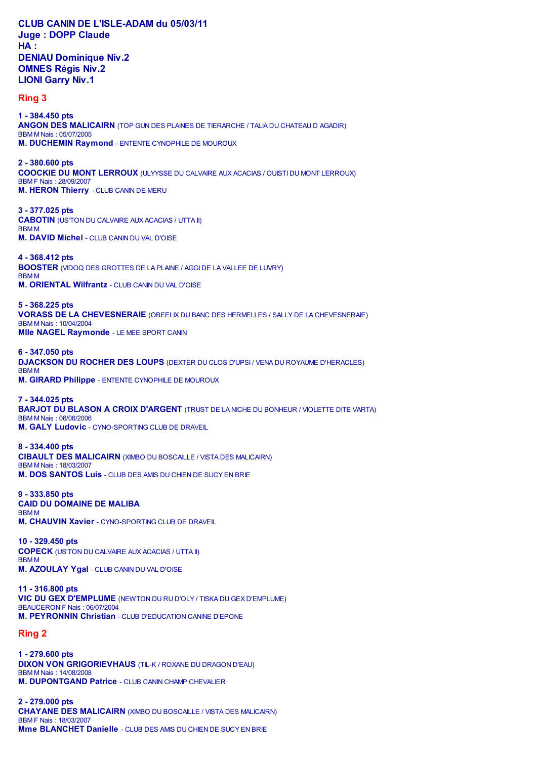## **CLUB CANIN DE L'ISLE-ADAM du 05/03/11 Juge : DOPP Claude HA : DENIAU Dominique Niv.2 OMNES Régis Niv.2**

**LIONI Garry Niv.1 Ring 3**

**1 - 384.450 pts ANGON DES MALICAIRN** (TOP GUN DES PLAINES DE TIERARCHE / TALIA DU CHATEAU D AGADIR) BBM M Nais : 05/07/2005 **M. DUCHEMIN Raymond** - ENTENTE CYNOPHILE DE MOUROUX

**2 - 380.600 pts COOCKIE DU MONT LERROUX** (ULYYSSE DU CALVAIRE AUX ACACIAS / OUISTI DU MONT LERROUX) BBM F Nais : 28/09/2007 **M. HERON Thierry** - CLUB CANIN DE MERU

**3 - 377.025 pts CABOTIN** (US'TON DU CALVAIRE AUX ACACIAS / UTTA II) BBM M **M. DAVID Michel** - CLUB CANIN DU VAL D'OISE

**4 - 368.412 pts BOOSTER** (VIDOQ DES GROTTES DE LA PLAINE / AGGI DE LA VALLEE DE LUVRY) BBM M **M. ORIENTAL Wilfrantz** - CLUB CANIN DU VAL D'OISE

**5 - 368.225 pts VORASS DE LA CHEVESNERAIE** (OBEELIX DU BANC DES HERMELLES / SALLY DE LA CHEVESNERAIE) BBM M Nais : 10/04/2004 **Mlle NAGEL Raymonde** - LE MEE SPORT CANIN

**6 - 347.050 pts DJACKSON DU ROCHER DES LOUPS** (DEXTER DU CLOS D'UPSI / VENA DU ROYAUME D'HERACLES) BBM M **M. GIRARD Philippe** - ENTENTE CYNOPHILE DE MOUROUX

**7 - 344.025 pts BARJOT DU BLASON A CROIX D'ARGENT** (TRUST DE LA NICHE DU BONHEUR / VIOLETTE DITE VARTA) BBM M Nais : 06/06/2006 **M. GALY Ludovic** - CYNO-SPORTING CLUB DE DRAVEIL

**8 - 334.400 pts CIBAULT DES MALICAIRN** (XIMBO DU BOSCAILLE / VISTA DES MALICAIRN) BBM M Nais : 18/03/2007 **M. DOS SANTOS Luis** - CLUB DES AMIS DU CHIEN DE SUCY EN BRIE

**9 - 333.850 pts CAID DU DOMAINE DE MALIBA** BBM M **M. CHAUVIN Xavier** - CYNO-SPORTING CLUB DE DRAVEIL

**10 - 329.450 pts COPECK** (US'TON DU CALVAIRE AUX ACACIAS / UTTA II) BBM M **M. AZOULAY Ygal** - CLUB CANIN DU VAL D'OISE

**11 - 316.800 pts VIC DU GEX D'EMPLUME** (NEWTON DU RU D'OLY / TISKA DU GEX D'EMPLUME) BEAUCERON F Nais : 06/07/2004 **M. PEYRONNIN Christian** - CLUB D'EDUCATION CANINE D'EPONE

**Ring 2**

**1 - 279.600 pts DIXON VON GRIGORIEVHAUS** (TIL-K / ROXANE DU DRAGON D'EAU) BBM M Nais : 14/08/2008 **M. DUPONTGAND Patrice** - CLUB CANIN CHAMP CHEVALIER

**2 - 279.000 pts CHAYANE DES MALICAIRN** (XIMBO DU BOSCAILLE / VISTA DES MALICAIRN) BBM F Nais : 18/03/2007 **Mme BLANCHET Danielle** - CLUB DES AMIS DU CHIEN DE SUCY EN BRIE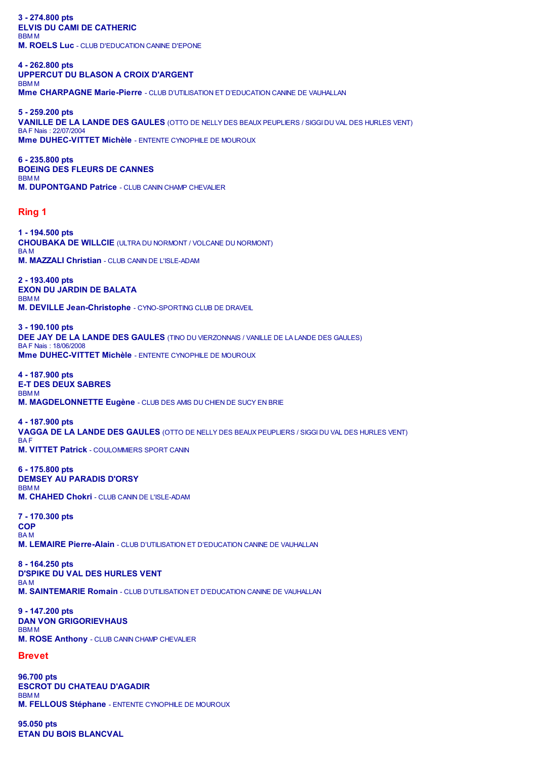**3 - 274.800 pts ELVIS DU CAMI DE CATHERIC** BBM M **M. ROELS Luc** - CLUB D'EDUCATION CANINE D'EPONE

**4 - 262.800 pts UPPERCUT DU BLASON A CROIX D'ARGENT** BBM M **Mme CHARPAGNE Marie-Pierre** - CLUB D'UTILISATION ET D'EDUCATION CANINE DE VAUHALLAN

**5 - 259.200 pts VANILLE DE LA LANDE DES GAULES** (OTTO DE NELLY DES BEAUX PEUPLIERS / SIGGI DU VAL DES HURLES VENT) BA F Nais : 22/07/2004 **Mme DUHEC-VITTET Michèle** - ENTENTE CYNOPHILE DE MOUROUX

**6 - 235.800 pts BOEING DES FLEURS DE CANNES** BBM M **M. DUPONTGAND Patrice** - CLUB CANIN CHAMP CHEVALIER

## **Ring 1**

**1 - 194.500 pts CHOUBAKA DE WILLCIE** (ULTRA DU NORMONT / VOLCANE DU NORMONT) BA M **M. MAZZALI Christian** - CLUB CANIN DE L'ISLE-ADAM

**2 - 193.400 pts EXON DU JARDIN DE BALATA** BBM M **M. DEVILLE Jean-Christophe** - CYNO-SPORTING CLUB DE DRAVEIL

**3 - 190.100 pts DEE JAY DE LA LANDE DES GAULES** (TINO DU VIERZONNAIS / VANILLE DE LA LANDE DES GAULES) BA F Nais : 18/06/2008 **Mme DUHEC-VITTET Michèle** - ENTENTE CYNOPHILE DE MOUROUX

**4 - 187.900 pts E-T DES DEUX SABRES** BBM M **M. MAGDELONNETTE Eugène** - CLUB DES AMIS DU CHIEN DE SUCY EN BRIE

**4 - 187.900 pts VAGGA DE LA LANDE DES GAULES** (OTTO DE NELLY DES BEAUX PEUPLIERS / SIGGI DU VAL DES HURLES VENT) BA F **M. VITTET Patrick** - COULOMMIERS SPORT CANIN

**6 - 175.800 pts DEMSEY AU PARADIS D'ORSY** BBM M **M. CHAHED Chokri** - CLUB CANIN DE L'ISLE-ADAM

**7 - 170.300 pts COP** BA M **M. LEMAIRE Pierre-Alain** - CLUB D'UTILISATION ET D'EDUCATION CANINE DE VAUHALLAN

**8 - 164.250 pts D'SPIKE DU VAL DES HURLES VENT** BA M **M. SAINTEMARIE Romain** - CLUB D'UTILISATION ET D'EDUCATION CANINE DE VAUHALLAN

**9 - 147.200 pts DAN VON GRIGORIEVHAUS** BBM M **M. ROSE Anthony** - CLUB CANIN CHAMP CHEVALIER

## **Brevet**

**96.700 pts ESCROT DU CHATEAU D'AGADIR** BBM M **M. FELLOUS Stéphane** - ENTENTE CYNOPHILE DE MOUROUX

**95.050 pts ETAN DU BOIS BLANCVAL**